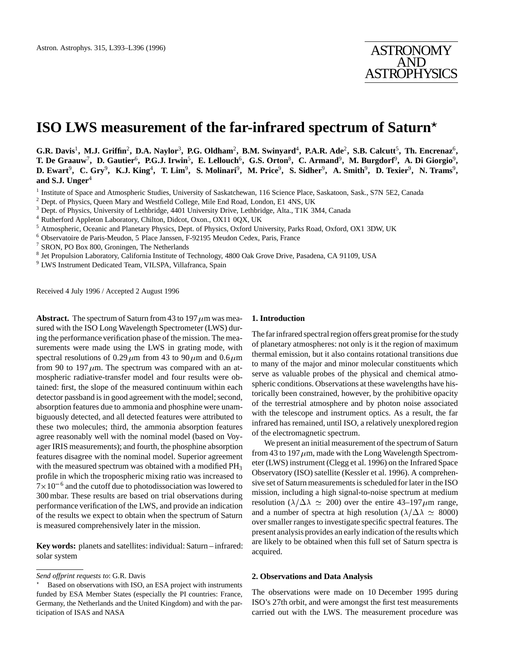# **ISO LWS measurement of the far-infrared spectrum of Saturn**?

**G.R. Davis**<sup>1</sup>**, M.J. Griffin**<sup>2</sup>**, D.A. Naylor**<sup>3</sup>**, P.G. Oldham**<sup>2</sup>**, B.M. Swinyard**<sup>4</sup>**, P.A.R. Ade**<sup>2</sup>**, S.B. Calcutt**<sup>5</sup>**, Th. Encrenaz**<sup>6</sup>**, T. De Graauw**<sup>7</sup>**, D. Gautier**<sup>6</sup>**, P.G.J. Irwin**<sup>5</sup>**, E. Lellouch**<sup>6</sup>**, G.S. Orton**<sup>8</sup>**, C. Armand**<sup>9</sup>**, M. Burgdorf**<sup>9</sup>**, A. Di Giorgio**<sup>9</sup>**, D. Ewart**<sup>9</sup>**, C. Gry**<sup>9</sup>**, K.J. King**<sup>4</sup>**, T. Lim**<sup>9</sup>**, S. Molinari**<sup>9</sup>**, M. Price**<sup>9</sup>**, S. Sidher**<sup>9</sup>**, A. Smith**<sup>9</sup>**, D. Texier**<sup>9</sup>**, N. Trams**<sup>9</sup>**, and S.J. Unger**<sup>4</sup>

<sup>1</sup> Institute of Space and Atmospheric Studies, University of Saskatchewan, 116 Science Place, Saskatoon, Sask., S7N 5E2, Canada

<sup>2</sup> Dept. of Physics, Queen Mary and Westfield College, Mile End Road, London, E1 4NS, UK

<sup>3</sup> Dept. of Physics, University of Lethbridge, 4401 University Drive, Lethbridge, Alta., T1K 3M4, Canada

- <sup>4</sup> Rutherford Appleton Laboratory, Chilton, Didcot, Oxon., OX11 0QX, UK
- <sup>5</sup> Atmospheric, Oceanic and Planetary Physics, Dept. of Physics, Oxford University, Parks Road, Oxford, OX1 3DW, UK
- <sup>6</sup> Observatoire de Paris-Meudon, 5 Place Janssen, F-92195 Meudon Cedex, Paris, France
- <sup>7</sup> SRON, PO Box 800, Groningen, The Netherlands
- <sup>8</sup> Jet Propulsion Laboratory, California Institute of Technology, 4800 Oak Grove Drive, Pasadena, CA 91109, USA
- <sup>9</sup> LWS Instrument Dedicated Team, VILSPA, Villafranca, Spain

Received 4 July 1996 / Accepted 2 August 1996

**Abstract.** The spectrum of Saturn from 43 to 197  $\mu$ m was measured with the ISO Long Wavelength Spectrometer (LWS) during the performance verification phase of the mission. The measurements were made using the LWS in grating mode, with spectral resolutions of 0.29  $\mu$ m from 43 to 90  $\mu$ m and 0.6  $\mu$ m from 90 to 197  $\mu$ m. The spectrum was compared with an atmospheric radiative-transfer model and four results were obtained: first, the slope of the measured continuum within each detector passband is in good agreement with the model; second, absorption features due to ammonia and phosphine were unambiguously detected, and all detected features were attributed to these two molecules; third, the ammonia absorption features agree reasonably well with the nominal model (based on Voyager IRIS measurements); and fourth, the phosphine absorption features disagree with the nominal model. Superior agreement with the measured spectrum was obtained with a modified PH<sub>3</sub> profile in which the tropospheric mixing ratio was increased to  $7 \times 10^{-6}$  and the cutoff due to photodissociation was lowered to 300 mbar. These results are based on trial observations during performance verification of the LWS, and provide an indication of the results we expect to obtain when the spectrum of Saturn is measured comprehensively later in the mission.

**Key words:** planets and satellites: individual: Saturn – infrared: solar system

# **1. Introduction**

The far infrared spectral region offers great promise for the study of planetary atmospheres: not only is it the region of maximum thermal emission, but it also contains rotational transitions due to many of the major and minor molecular constituents which serve as valuable probes of the physical and chemical atmospheric conditions. Observations at these wavelengths have historically been constrained, however, by the prohibitive opacity of the terrestrial atmosphere and by photon noise associated with the telescope and instrument optics. As a result, the far infrared has remained, until ISO, a relatively unexplored region of the electromagnetic spectrum.

We present an initial measurement of the spectrum of Saturn from 43 to 197  $\mu$ m, made with the Long Wavelength Spectrometer (LWS) instrument (Clegg et al. 1996) on the Infrared Space Observatory (ISO) satellite (Kessler et al. 1996). A comprehensive set of Saturn measurements is scheduled for later in the ISO mission, including a high signal-to-noise spectrum at medium resolution ( $\lambda/\Delta\lambda \simeq 200$ ) over the entire 43–197  $\mu$ m range, and a number of spectra at high resolution ( $\lambda/\Delta\lambda \simeq 8000$ ) over smaller ranges to investigate specific spectral features. The present analysis provides an early indication of the results which are likely to be obtained when this full set of Saturn spectra is acquired.

## **2. Observations and Data Analysis**

The observations were made on 10 December 1995 during ISO's 27th orbit, and were amongst the first test measurements carried out with the LWS. The measurement procedure was

*Send offprint requests to*: G.R. Davis

<sup>?</sup> Based on observations with ISO, an ESA project with instruments funded by ESA Member States (especially the PI countries: France, Germany, the Netherlands and the United Kingdom) and with the participation of ISAS and NASA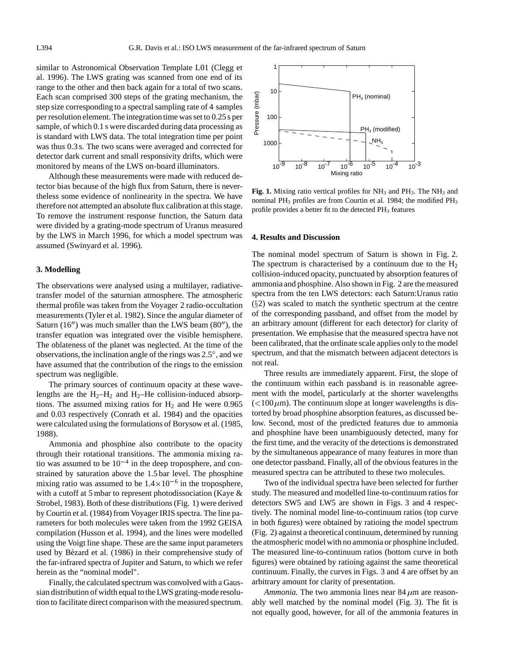similar to Astronomical Observation Template L01 (Clegg et al. 1996). The LWS grating was scanned from one end of its range to the other and then back again for a total of two scans. Each scan comprised 300 steps of the grating mechanism, the step size corresponding to a spectral sampling rate of 4 samples per resolution element. The integration time was set to 0.25 s per sample, of which 0.1 s were discarded during data processing as is standard with LWS data. The total integration time per point was thus 0.3 s. The two scans were averaged and corrected for detector dark current and small responsivity drifts, which were monitored by means of the LWS on-board illuminators.

Although these measurements were made with reduced detector bias because of the high flux from Saturn, there is nevertheless some evidence of nonlinearity in the spectra. We have therefore not attempted an absolute flux calibration at this stage. To remove the instrument response function, the Saturn data were divided by a grating-mode spectrum of Uranus measured by the LWS in March 1996, for which a model spectrum was assumed (Swinyard et al. 1996).

#### **3. Modelling**

The observations were analysed using a multilayer, radiativetransfer model of the saturnian atmosphere. The atmospheric thermal profile was taken from the Voyager 2 radio-occultation measurements (Tyler et al. 1982). Since the angular diameter of Saturn  $(16'')$  was much smaller than the LWS beam  $(80'')$ , the transfer equation was integrated over the visible hemisphere. The oblateness of the planet was neglected. At the time of the observations, the inclination angle of the rings was 2.5 , and we have assumed that the contribution of the rings to the emission spectrum was negligible.

The primary sources of continuum opacity at these wavelengths are the  $H_2-H_2$  and  $H_2$ –He collision-induced absorptions. The assumed mixing ratios for  $H_2$  and He were 0.965 and 0.03 respectively (Conrath et al. 1984) and the opacities were calculated using the formulations of Borysow et al. (1985, 1988).

Ammonia and phosphine also contribute to the opacity through their rotational transitions. The ammonia mixing ratio was assumed to be  $10^{-4}$  in the deep troposphere, and constrained by saturation above the 1.5 bar level. The phosphine mixing ratio was assumed to be  $1.4 \times 10^{-6}$  in the troposphere, with a cutoff at 5 mbar to represent photodissociation (Kaye & Strobel, 1983). Both of these distributions (Fig. 1) were derived by Courtin et al. (1984) from Voyager IRIS spectra. The line parameters for both molecules were taken from the 1992 GEISA compilation (Husson et al. 1994), and the lines were modelled using the Voigt line shape. These are the same input parameters used by Bézard et al. (1986) in their comprehensive study of the far-infrared spectra of Jupiter and Saturn, to which we refer herein as the "nominal model".

Finally, the calculated spectrum was convolved with a Gaussian distribution of width equal to the LWS grating-mode resolution to facilitate direct comparison with the measured spectrum.



Fig. 1. Mixing ratio vertical profiles for NH<sub>3</sub> and PH<sub>3</sub>. The NH<sub>3</sub> and nominal PH3 profiles are from Courtin et al. 1984; the modified PH3 profile provides a better fit to the detected PH<sub>3</sub> features

#### **4. Results and Discussion**

The nominal model spectrum of Saturn is shown in Fig. 2. The spectrum is characterised by a continuum due to the  $H_2$ collision-induced opacity, punctuated by absorption features of ammonia and phosphine. Also shown in Fig. 2 are the measured spectra from the ten LWS detectors: each Saturn:Uranus ratio  $(\S2)$  was scaled to match the synthetic spectrum at the centre of the corresponding passband, and offset from the model by an arbitrary amount (different for each detector) for clarity of presentation. We emphasise that the measured spectra have not been calibrated, that the ordinate scale applies only to the model spectrum, and that the mismatch between adjacent detectors is not real.

Three results are immediately apparent. First, the slope of the continuum within each passband is in reasonable agreement with the model, particularly at the shorter wavelengths  $\left($  <100  $\mu$ m). The continuum slope at longer wavelengths is distorted by broad phosphine absorption features, as discussed below. Second, most of the predicted features due to ammonia and phosphine have been unambiguously detected, many for the first time, and the veracity of the detections is demonstrated by the simultaneous appearance of many features in more than one detector passband. Finally, all of the obvious features in the measured spectra can be attributed to these two molecules.

Two of the individual spectra have been selected for further study. The measured and modelled line-to-continuum ratios for detectors SW5 and LW5 are shown in Figs. 3 and 4 respectively. The nominal model line-to-continuum ratios (top curve in both figures) were obtained by ratioing the model spectrum (Fig. 2) against a theoretical continuum, determined by running the atmospheric model with no ammonia or phosphine included. The measured line-to-continuum ratios (bottom curve in both figures) were obtained by ratioing against the same theoretical continuum. Finally, the curves in Figs. 3 and 4 are offset by an arbitrary amount for clarity of presentation.

*Ammonia.* The two ammonia lines near  $84 \mu m$  are reasonably well matched by the nominal model (Fig. 3). The fit is not equally good, however, for all of the ammonia features in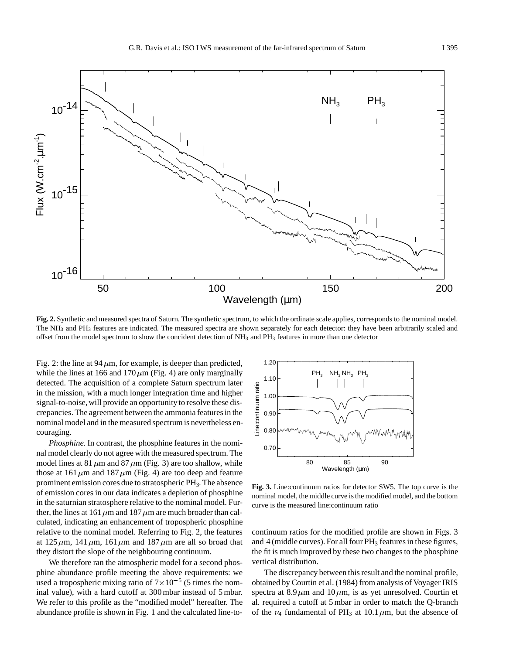

**Fig. 2.** Synthetic and measured spectra of Saturn. The synthetic spectrum, to which the ordinate scale applies, corresponds to the nominal model. The NH<sub>3</sub> and PH<sub>3</sub> features are indicated. The measured spectra are shown separately for each detector: they have been arbitrarily scaled and offset from the model spectrum to show the concident detection of NH3 and PH3 features in more than one detector

Fig. 2: the line at 94  $\mu$ m, for example, is deeper than predicted, while the lines at 166 and 170  $\mu$ m (Fig. 4) are only marginally detected. The acquisition of a complete Saturn spectrum later in the mission, with a much longer integration time and higher signal-to-noise, will provide an opportunity to resolve these discrepancies. The agreement between the ammonia features in the nominal model and in the measured spectrum is nevertheless encouraging.

*Phosphine.* In contrast, the phosphine features in the nominal model clearly do not agree with the measured spectrum. The model lines at 81  $\mu$ m and 87  $\mu$ m (Fig. 3) are too shallow, while those at 161  $\mu$ m and 187  $\mu$ m (Fig. 4) are too deep and feature prominent emission cores due to stratospheric PH3. The absence of emission cores in our data indicates a depletion of phosphine in the saturnian stratosphere relative to the nominal model. Further, the lines at 161  $\mu$ m and 187  $\mu$ m are much broader than calculated, indicating an enhancement of tropospheric phosphine relative to the nominal model. Referring to Fig. 2, the features at 125  $\mu$ m, 141  $\mu$ m, 161  $\mu$ m and 187  $\mu$ m are all so broad that they distort the slope of the neighbouring continuum.

We therefore ran the atmospheric model for a second phosphine abundance profile meeting the above requirements: we used a tropospheric mixing ratio of  $7 \times 10^{-5}$  (5 times the nominal value), with a hard cutoff at 300 mbar instead of 5 mbar. We refer to this profile as the "modified model" hereafter. The abundance profile is shown in Fig. 1 and the calculated line-to-



**Fig. 3.** Line:continuum ratios for detector SW5. The top curve is the nominal model, the middle curve is the modified model, and the bottom curve is the measured line:continuum ratio

continuum ratios for the modified profile are shown in Figs. 3 and  $4$  (middle curves). For all four  $PH_3$  features in these figures, the fit is much improved by these two changes to the phosphine vertical distribution.

The discrepancy between this result and the nominal profile, obtained by Courtin et al. (1984) from analysis of Voyager IRIS spectra at  $8.9 \mu m$  and  $10 \mu m$ , is as yet unresolved. Courtin et al. required a cutoff at 5 mbar in order to match the Q-branch of the  $\nu_4$  fundamental of PH<sub>3</sub> at 10.1  $\mu$ m, but the absence of